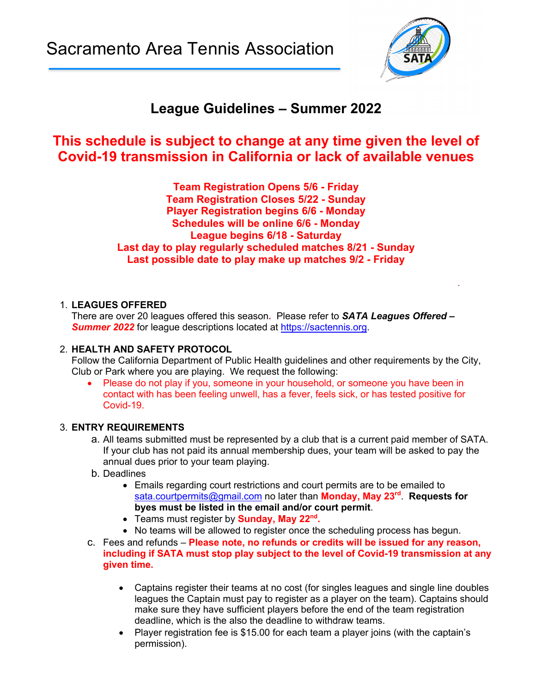Sacramento Area Tennis Association



# **League Guidelines – Summer 2022**

## **This schedule is subject to change at any time given the level of Covid-19 transmission in California or lack of available venues**

**Team Registration Opens 5/6 - Friday Team Registration Closes 5/22 - Sunday Player Registration begins 6/6 - Monday Schedules will be online 6/6 - Monday League begins 6/18 - Saturday Last day to play regularly scheduled matches 8/21 - Sunday Last possible date to play make up matches 9/2 - Friday**

#### 1. **LEAGUES OFFERED**

There are over 20 leagues offered this season**.** Please refer to *SATA Leagues Offered – Summer 2022* for league descriptions located at https://sactennis.org.

.

#### 2. **HEALTH AND SAFETY PROTOCOL**

Follow the California Department of Public Health guidelines and other requirements by the City, Club or Park where you are playing. We request the following:

• Please do not play if you, someone in your household, or someone you have been in contact with has been feeling unwell, has a fever, feels sick, or has tested positive for Covid-19.

#### 3. **ENTRY REQUIREMENTS**

- a. All teams submitted must be represented by a club that is a current paid member of SATA. If your club has not paid its annual membership dues, your team will be asked to pay the annual dues prior to your team playing.
- b. Deadlines
	- Emails regarding court restrictions and court permits are to be emailed to sata.courtpermits@gmail.com no later than **Monday, May 23rd**. **Requests for byes must be listed in the email and/or court permit**.
	- Teams must register by **Sunday, May 22nd.**
	- No teams will be allowed to register once the scheduling process has begun.
- c. Fees and refunds **Please note, no refunds or credits will be issued for any reason, including if SATA must stop play subject to the level of Covid-19 transmission at any given time.**
	- Captains register their teams at no cost (for singles leagues and single line doubles leagues the Captain must pay to register as a player on the team). Captains should make sure they have sufficient players before the end of the team registration deadline, which is the also the deadline to withdraw teams.
	- Player registration fee is \$15.00 for each team a player joins (with the captain's permission).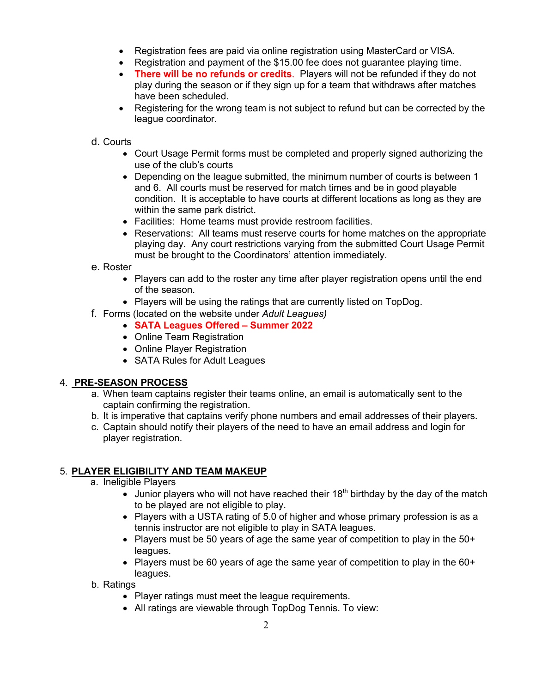- Registration fees are paid via online registration using MasterCard or VISA.
- Registration and payment of the \$15.00 fee does not guarantee playing time.
- **There will be no refunds or credits**. Players will not be refunded if they do not play during the season or if they sign up for a team that withdraws after matches have been scheduled.
- Registering for the wrong team is not subject to refund but can be corrected by the league coordinator.

#### d. Courts

- Court Usage Permit forms must be completed and properly signed authorizing the use of the club's courts
- Depending on the league submitted, the minimum number of courts is between 1 and 6. All courts must be reserved for match times and be in good playable condition. It is acceptable to have courts at different locations as long as they are within the same park district.
- Facilities: Home teams must provide restroom facilities.
- Reservations: All teams must reserve courts for home matches on the appropriate playing day. Any court restrictions varying from the submitted Court Usage Permit must be brought to the Coordinators' attention immediately.

#### e. Roster

- Players can add to the roster any time after player registration opens until the end of the season.
- Players will be using the ratings that are currently listed on TopDog.
- f. Forms (located on the website under *Adult Leagues)*
	- **SATA Leagues Offered – Summer 2022**
	- Online Team Registration
	- Online Player Registration
	- SATA Rules for Adult Leagues

#### 4. **PRE-SEASON PROCESS**

- a. When team captains register their teams online, an email is automatically sent to the captain confirming the registration.
- b. It is imperative that captains verify phone numbers and email addresses of their players.
- c. Captain should notify their players of the need to have an email address and login for player registration.

### 5. **PLAYER ELIGIBILITY AND TEAM MAKEUP**

- a. Ineligible Players
	- Junior players who will not have reached their  $18<sup>th</sup>$  birthday by the day of the match to be played are not eligible to play.
	- Players with a USTA rating of 5.0 of higher and whose primary profession is as a tennis instructor are not eligible to play in SATA leagues.
	- Players must be 50 years of age the same year of competition to play in the 50+ leagues.
	- Players must be 60 years of age the same year of competition to play in the 60+ leagues.
- b. Ratings
	- Player ratings must meet the league requirements.
	- All ratings are viewable through TopDog Tennis. To view: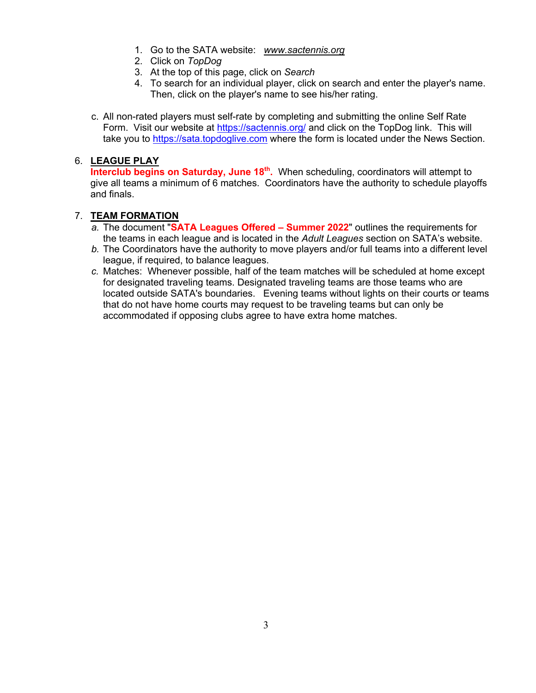- 1. Go to the SATA website: *www.sactennis.org*
- 2. Click on *TopDog*
- 3. At the top of this page, click on *Search*
- 4. To search for an individual player, click on search and enter the player's name. Then, click on the player's name to see his/her rating.
- c. All non-rated players must self-rate by completing and submitting the online Self Rate Form. Visit our website at https://sactennis.org/ and click on the TopDog link. This will take you to https://sata.topdoglive.com where the form is located under the News Section.

#### 6. **LEAGUE PLAY**

**Interclub begins on Saturday, June 18<sup>th</sup>.** When scheduling, coordinators will attempt to give all teams a minimum of 6 matches. Coordinators have the authority to schedule playoffs and finals.

#### 7. **TEAM FORMATION**

- *a.* The document "**SATA Leagues Offered – Summer 2022**" outlines the requirements for the teams in each league and is located in the *Adult Leagues* section on SATA's website.
- *b.* The Coordinators have the authority to move players and/or full teams into a different level league, if required, to balance leagues.
- *c.* Matches: Whenever possible, half of the team matches will be scheduled at home except for designated traveling teams. Designated traveling teams are those teams who are located outside SATA's boundaries. Evening teams without lights on their courts or teams that do not have home courts may request to be traveling teams but can only be accommodated if opposing clubs agree to have extra home matches.